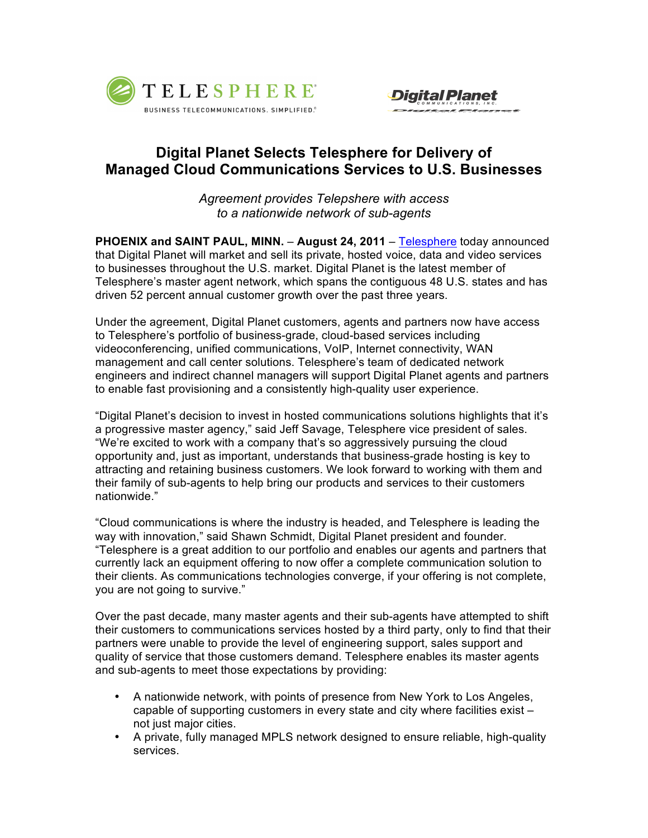



## **Digital Planet Selects Telesphere for Delivery of Managed Cloud Communications Services to U.S. Businesses**

*Agreement provides Telepshere with access to a nationwide network of sub-agents* 

**PHOENIX and SAINT PAUL, MINN.** – **August 24, 2011** – Telesphere today announced that Digital Planet will market and sell its private, hosted voice, data and video services to businesses throughout the U.S. market. Digital Planet is the latest member of Telesphere's master agent network, which spans the contiguous 48 U.S. states and has driven 52 percent annual customer growth over the past three years.

Under the agreement, Digital Planet customers, agents and partners now have access to Telesphere's portfolio of business-grade, cloud-based services including videoconferencing, unified communications, VoIP, Internet connectivity, WAN management and call center solutions. Telesphere's team of dedicated network engineers and indirect channel managers will support Digital Planet agents and partners to enable fast provisioning and a consistently high-quality user experience.

"Digital Planet's decision to invest in hosted communications solutions highlights that it's a progressive master agency," said Jeff Savage, Telesphere vice president of sales. "We're excited to work with a company that's so aggressively pursuing the cloud opportunity and, just as important, understands that business-grade hosting is key to attracting and retaining business customers. We look forward to working with them and their family of sub-agents to help bring our products and services to their customers nationwide."

"Cloud communications is where the industry is headed, and Telesphere is leading the way with innovation," said Shawn Schmidt, Digital Planet president and founder. "Telesphere is a great addition to our portfolio and enables our agents and partners that currently lack an equipment offering to now offer a complete communication solution to their clients. As communications technologies converge, if your offering is not complete, you are not going to survive."

Over the past decade, many master agents and their sub-agents have attempted to shift their customers to communications services hosted by a third party, only to find that their partners were unable to provide the level of engineering support, sales support and quality of service that those customers demand. Telesphere enables its master agents and sub-agents to meet those expectations by providing:

- A nationwide network, with points of presence from New York to Los Angeles, capable of supporting customers in every state and city where facilities exist – not just major cities.
- A private, fully managed MPLS network designed to ensure reliable, high-quality services.